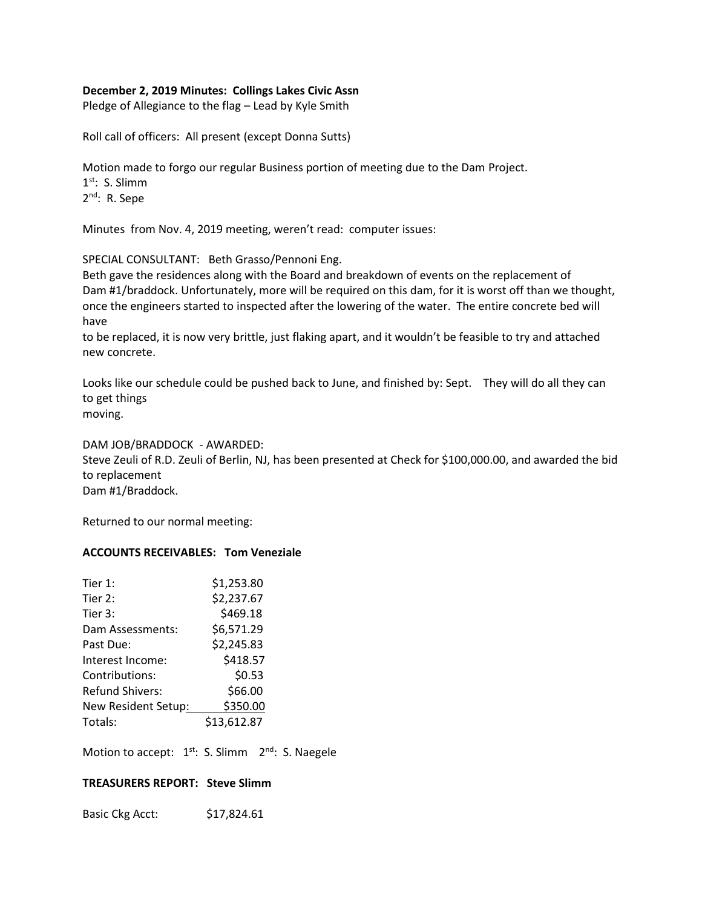## **December 2, 2019 Minutes: Collings Lakes Civic Assn**

Pledge of Allegiance to the flag – Lead by Kyle Smith

Roll call of officers: All present (except Donna Sutts)

Motion made to forgo our regular Business portion of meeting due to the Dam Project. 1<sup>st</sup>: S. Slimm 2<sup>nd</sup>: R. Sepe

Minutes from Nov. 4, 2019 meeting, weren't read: computer issues:

SPECIAL CONSULTANT: Beth Grasso/Pennoni Eng.

Beth gave the residences along with the Board and breakdown of events on the replacement of Dam #1/braddock. Unfortunately, more will be required on this dam, for it is worst off than we thought, once the engineers started to inspected after the lowering of the water. The entire concrete bed will have

to be replaced, it is now very brittle, just flaking apart, and it wouldn't be feasible to try and attached new concrete.

Looks like our schedule could be pushed back to June, and finished by: Sept. They will do all they can to get things moving.

DAM JOB/BRADDOCK - AWARDED:

Steve Zeuli of R.D. Zeuli of Berlin, NJ, has been presented at Check for \$100,000.00, and awarded the bid to replacement Dam #1/Braddock.

Returned to our normal meeting:

#### **ACCOUNTS RECEIVABLES: Tom Veneziale**

| Tier 1:                | \$1,253.80  |
|------------------------|-------------|
| Tier 2:                | \$2,237.67  |
| Tier 3:                | \$469.18    |
| Dam Assessments:       | \$6,571.29  |
| Past Due:              | \$2,245.83  |
| Interest Income:       | \$418.57    |
| Contributions:         | \$0.53      |
| <b>Refund Shivers:</b> | \$66.00     |
| New Resident Setup:    | \$350.00    |
| Totals:                | \$13,612.87 |
|                        |             |

Motion to accept:  $1^{st}$ : S. Slimm  $2^{nd}$ : S. Naegele

#### **TREASURERS REPORT: Steve Slimm**

Basic Ckg Acct: \$17,824.61